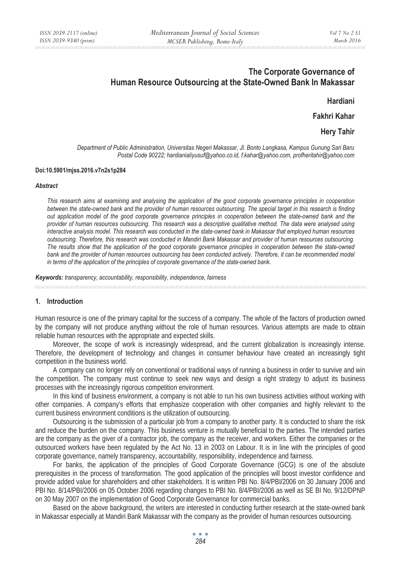# **The Corporate Governance of Human Resource Outsourcing at the State-Owned Bank In Makassar**

**Hardiani** 

**Fakhri Kahar** 

**Hery Tahir** 

*Department of Public Administration, Universitas Negeri Makassar, Jl. Bonto Langkasa, Kampus Gunung Sari Baru Postal Code 90222; hardianialiyusuf@yahoo.co.id, f.kahar@yahoo.com, profheritahir@yahoo.com* 

#### **Doi:10.5901/mjss.2016.v7n2s1p284**

#### *Abstract*

*This research aims at examining and analysing the application of the good corporate governance principles in cooperation between the state-owned bank and the provider of human resources outsourcing. The special target in this research is finding out application model of the good corporate governance principles in cooperation between the state-owned bank and the provider of human resources outsourcing. This research was a descriptive qualitative method. The data were analysed using interactive analysis model. This research was conducted in the state-owned bank in Makassar that employed human resources outsourcing. Therefore, this research was conducted in Mandiri Bank Makassar and provider of human resources outsourcing. The results show that the application of the good corporate governance principles in cooperation between the state-owned*  bank and the provider of human resources outsourcing has been conducted actively. Therefore, it can be recommended model *in terms of the application of the principles of corporate governance of the state-owned bank.* 

*Keywords: transparency, accountability, responsibility, independence, fairness*

#### **1. Introduction**

Human resource is one of the primary capital for the success of a company. The whole of the factors of production owned by the company will not produce anything without the role of human resources. Various attempts are made to obtain reliable human resources with the appropriate and expected skills.

Moreover, the scope of work is increasingly widespread, and the current globalization is increasingly intense. Therefore, the development of technology and changes in consumer behaviour have created an increasingly tight competition in the business world.

A company can no longer rely on conventional or traditional ways of running a business in order to survive and win the competition. The company must continue to seek new ways and design a right strategy to adjust its business processes with the increasingly rigorous competition environment.

In this kind of business environment, a company is not able to run his own business activities without working with other companies. A company's efforts that emphasize cooperation with other companies and highly relevant to the current business environment conditions is the utilization of outsourcing.

Outsourcing is the submission of a particular job from a company to another party. It is conducted to share the risk and reduce the burden on the company. This business venture is mutually beneficial to the parties. The intended parties are the company as the giver of a contractor job, the company as the receiver, and workers. Either the companies or the outsourced workers have been regulated by the Act No. 13 in 2003 on Labour. It is in line with the principles of good corporate governance, namely transparency, accountability, responsibility, independence and fairness.

For banks, the application of the principles of Good Corporate Governance (GCG) is one of the absolute prerequisites in the process of transformation. The good application of the principles will boost investor confidence and provide added value for shareholders and other stakeholders. It is written PBI No. 8/4/PBI/2006 on 30 January 2006 and PBI No. 8/14/PBI/2006 on 05 October 2006 regarding changes to PBI No. 8/4/PBI/2006 as well as SE BI No. 9/12/DPNP on 30 May 2007 on the implementation of Good Corporate Governance for commercial banks.

Based on the above background, the writers are interested in conducting further research at the state-owned bank in Makassar especially at Mandiri Bank Makassar with the company as the provider of human resources outsourcing.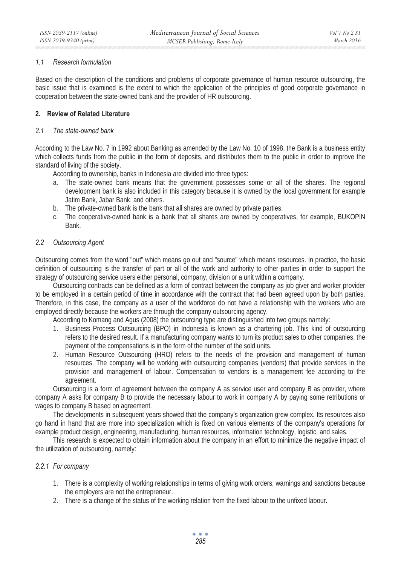#### *1.1 Research formulation*

Based on the description of the conditions and problems of corporate governance of human resource outsourcing, the basic issue that is examined is the extent to which the application of the principles of good corporate governance in cooperation between the state-owned bank and the provider of HR outsourcing.

# **2. Review of Related Literature**

#### *2.1 The state-owned bank*

According to the Law No. 7 in 1992 about Banking as amended by the Law No. 10 of 1998, the Bank is a business entity which collects funds from the public in the form of deposits, and distributes them to the public in order to improve the standard of living of the society.

According to ownership, banks in Indonesia are divided into three types:

- a. The state-owned bank means that the government possesses some or all of the shares. The regional development bank is also included in this category because it is owned by the local government for example Jatim Bank, Jabar Bank, and others.
- b. The private-owned bank is the bank that all shares are owned by private parties.
- c. The cooperative-owned bank is a bank that all shares are owned by cooperatives, for example, BUKOPIN Bank.

# *2.2 Outsourcing Agent*

Outsourcing comes from the word "out" which means go out and "source" which means resources. In practice, the basic definition of outsourcing is the transfer of part or all of the work and authority to other parties in order to support the strategy of outsourcing service users either personal, company, division or a unit within a company.

Outsourcing contracts can be defined as a form of contract between the company as job giver and worker provider to be employed in a certain period of time in accordance with the contract that had been agreed upon by both parties. Therefore, in this case, the company as a user of the workforce do not have a relationship with the workers who are employed directly because the workers are through the company outsourcing agency.

According to Komang and Agus (2008) the outsourcing type are distinguished into two groups namely:

- 1. Business Process Outsourcing (BPO) in Indonesia is known as a chartering job. This kind of outsourcing refers to the desired result. If a manufacturing company wants to turn its product sales to other companies, the payment of the compensations is in the form of the number of the sold units.
- 2. Human Resource Outsourcing (HRO) refers to the needs of the provision and management of human resources. The company will be working with outsourcing companies (vendors) that provide services in the provision and management of labour. Compensation to vendors is a management fee according to the agreement.

Outsourcing is a form of agreement between the company A as service user and company B as provider, where company A asks for company B to provide the necessary labour to work in company A by paying some retributions or wages to company B based on agreement.

The developments in subsequent years showed that the company's organization grew complex. Its resources also go hand in hand that are more into specialization which is fixed on various elements of the company's operations for example product design, engineering, manufacturing, human resources, information technology, logistic, and sales.

This research is expected to obtain information about the company in an effort to minimize the negative impact of the utilization of outsourcing, namely:

#### *2.2.1 For company*

- 1. There is a complexity of working relationships in terms of giving work orders, warnings and sanctions because the employers are not the entrepreneur.
- 2. There is a change of the status of the working relation from the fixed labour to the unfixed labour.

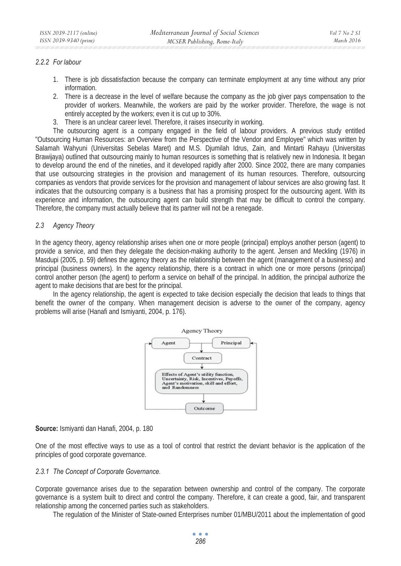#### *2.2.2 For labour*

- 1. There is job dissatisfaction because the company can terminate employment at any time without any prior information.
- 2. There is a decrease in the level of welfare because the company as the job giver pays compensation to the provider of workers. Meanwhile, the workers are paid by the worker provider. Therefore, the wage is not entirely accepted by the workers; even it is cut up to 30%.
- 3. There is an unclear career level. Therefore, it raises insecurity in working.

The outsourcing agent is a company engaged in the field of labour providers. A previous study entitled "Outsourcing Human Resources: an Overview from the Perspective of the Vendor and Employee" which was written by Salamah Wahyuni (Universitas Sebelas Maret) and M.S. Djumilah Idrus, Zain, and Mintarti Rahayu (Universitas Brawijaya) outlined that outsourcing mainly to human resources is something that is relatively new in Indonesia. It began to develop around the end of the nineties, and it developed rapidly after 2000. Since 2002, there are many companies that use outsourcing strategies in the provision and management of its human resources. Therefore, outsourcing companies as vendors that provide services for the provision and management of labour services are also growing fast. It indicates that the outsourcing company is a business that has a promising prospect for the outsourcing agent. With its experience and information, the outsourcing agent can build strength that may be difficult to control the company. Therefore, the company must actually believe that its partner will not be a renegade.

# *2.3 Agency Theory*

In the agency theory, agency relationship arises when one or more people (principal) employs another person (agent) to provide a service, and then they delegate the decision-making authority to the agent. Jensen and Meckling (1976) in Masdupi (2005, p. 59) defines the agency theory as the relationship between the agent (management of a business) and principal (business owners). In the agency relationship, there is a contract in which one or more persons (principal) control another person (the agent) to perform a service on behalf of the principal. In addition, the principal authorize the agent to make decisions that are best for the principal.

In the agency relationship, the agent is expected to take decision especially the decision that leads to things that benefit the owner of the company. When management decision is adverse to the owner of the company, agency problems will arise (Hanafi and Ismiyanti, 2004, p. 176).



**Source:** Ismiyanti dan Hanafi, 2004, p. 180

One of the most effective ways to use as a tool of control that restrict the deviant behavior is the application of the principles of good corporate governance.

#### *2.3.1 The Concept of Corporate Governance.*

Corporate governance arises due to the separation between ownership and control of the company. The corporate governance is a system built to direct and control the company. Therefore, it can create a good, fair, and transparent relationship among the concerned parties such as stakeholders.

The regulation of the Minister of State-owned Enterprises number 01/MBU/2011 about the implementation of good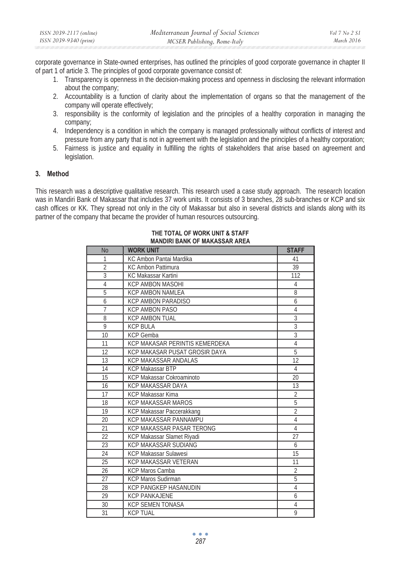corporate governance in State-owned enterprises, has outlined the principles of good corporate governance in chapter II of part 1 of article 3. The principles of good corporate governance consist of:

- 1. Transparency is openness in the decision-making process and openness in disclosing the relevant information about the company;
- 2. Accountability is a function of clarity about the implementation of organs so that the management of the company will operate effectively;
- 3. responsibility is the conformity of legislation and the principles of a healthy corporation in managing the company;
- 4. Independency is a condition in which the company is managed professionally without conflicts of interest and pressure from any party that is not in agreement with the legislation and the principles of a healthy corporation;
- 5. Fairness is justice and equality in fulfilling the rights of stakeholders that arise based on agreement and legislation.

# **3. Method**

This research was a descriptive qualitative research. This research used a case study approach. The research location was in Mandiri Bank of Makassar that includes 37 work units. It consists of 3 branches, 28 sub-branches or KCP and six cash offices or KK. They spread not only in the city of Makassar but also in several districts and islands along with its partner of the company that became the provider of human resources outsourcing.

| <b>No</b>       | <b>WORK UNIT</b>                 | <b>STAFF</b>    |
|-----------------|----------------------------------|-----------------|
| 1               | KC Ambon Pantai Mardika          | 41              |
| $\overline{2}$  | <b>KC Ambon Pattimura</b>        | $\overline{39}$ |
| $\overline{3}$  | <b>KC Makassar Kartini</b>       | 112             |
| $\overline{4}$  | <b>KCP AMBON MASOHI</b>          | 4               |
| $\overline{5}$  | <b>KCP AMBON NAMLEA</b>          | 8               |
| $\overline{6}$  | <b>KCP AMBON PARADISO</b>        | 6               |
| $\overline{7}$  | <b>KCP AMBON PASO</b>            | $\overline{4}$  |
| 8               | <b>KCP AMBON TUAL</b>            | $\overline{3}$  |
| $\overline{9}$  | <b>KCP BULA</b>                  | $\overline{3}$  |
| 10              | <b>KCP Gemba</b>                 | $\overline{3}$  |
| 11              | KCP MAKASAR PERINTIS KEMERDEKA   | $\overline{4}$  |
| 12              | KCP MAKASAR PUSAT GROSIR DAYA    | $\overline{5}$  |
| 13              | <b>KCP MAKASSAR ANDALAS</b>      | 12              |
| 14              | <b>KCP Makassar BTP</b>          | 4               |
| 15              | <b>KCP Makassar Cokroaminoto</b> | 20              |
| 16              | <b>KCP MAKASSAR DAYA</b>         | 13              |
| 17              | <b>KCP Makassar Kima</b>         | $\overline{2}$  |
| 18              | <b>KCP MAKASSAR MAROS</b>        | $\overline{5}$  |
| 19              | KCP Makassar Paccerakkang        | $\overline{2}$  |
| 20              | <b>KCP MAKASSAR PANNAMPU</b>     | $\overline{4}$  |
| 21              | KCP MAKASSAR PASAR TERONG        | 4               |
| 22              | KCP Makassar Slamet Riyadi       | $\overline{27}$ |
| 23              | <b>KCP MAKASSAR SUDIANG</b>      | 6               |
| 24              | <b>KCP Makassar Sulawesi</b>     | 15              |
| 25              | <b>KCP MAKASSAR VETERAN</b>      | 11              |
| 26              | <b>KCP Maros Camba</b>           | $\overline{2}$  |
| 27              | <b>KCP Maros Sudirman</b>        | 5               |
| 28              | <b>KCP PANGKEP HASANUDIN</b>     | $\overline{4}$  |
| 29              | <b>KCP PANKAJENE</b>             | $\overline{6}$  |
| 30              | <b>KCP SEMEN TONASA</b>          | $\overline{4}$  |
| $\overline{31}$ | <b>KCP TUAL</b>                  | 9               |

#### **THE TOTAL OF WORK UNIT & STAFF MANDIRI BANK OF MAKASSAR AREA**

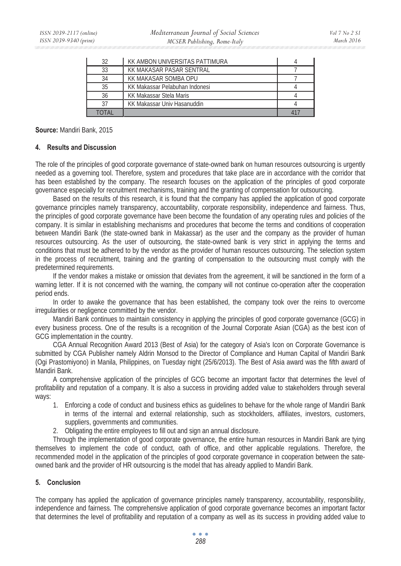| 32 | KK AMBON UNIVERSITAS PATTIMURA |  |
|----|--------------------------------|--|
| 33 | KK MAKASAR PASAR SENTRAI       |  |
| 34 | KK MAKASAR SOMBA OPU           |  |
| 35 | KK Makassar Pelabuhan Indonesi |  |
| 36 | <b>KK Makassar Stela Maris</b> |  |
| 27 | KK Makassar Univ Hasanuddin    |  |
|    |                                |  |

**Source:** Mandiri Bank, 2015

#### **4. Results and Discussion**

The role of the principles of good corporate governance of state-owned bank on human resources outsourcing is urgently needed as a governing tool. Therefore, system and procedures that take place are in accordance with the corridor that has been established by the company. The research focuses on the application of the principles of good corporate governance especially for recruitment mechanisms, training and the granting of compensation for outsourcing.

Based on the results of this research, it is found that the company has applied the application of good corporate governance principles namely transparency, accountability, corporate responsibility, independence and fairness. Thus, the principles of good corporate governance have been become the foundation of any operating rules and policies of the company. It is similar in establishing mechanisms and procedures that become the terms and conditions of cooperation between Mandiri Bank (the state-owned bank in Makassar) as the user and the company as the provider of human resources outsourcing. As the user of outsourcing, the state-owned bank is very strict in applying the terms and conditions that must be adhered to by the vendor as the provider of human resources outsourcing. The selection system in the process of recruitment, training and the granting of compensation to the outsourcing must comply with the predetermined requirements.

If the vendor makes a mistake or omission that deviates from the agreement, it will be sanctioned in the form of a warning letter. If it is not concerned with the warning, the company will not continue co-operation after the cooperation period ends.

In order to awake the governance that has been established, the company took over the reins to overcome irregularities or negligence committed by the vendor.

Mandiri Bank continues to maintain consistency in applying the principles of good corporate governance (GCG) in every business process. One of the results is a recognition of the Journal Corporate Asian (CGA) as the best icon of GCG implementation in the country.

CGA Annual Recognition Award 2013 (Best of Asia) for the category of Asia's Icon on Corporate Governance is submitted by CGA Publisher namely Aldrin Monsod to the Director of Compliance and Human Capital of Mandiri Bank (Ogi Prastomiyono) in Manila, Philippines, on Tuesday night (25/6/2013). The Best of Asia award was the fifth award of Mandiri Bank.

A comprehensive application of the principles of GCG become an important factor that determines the level of profitability and reputation of a company. It is also a success in providing added value to stakeholders through several ways:

- 1. Enforcing a code of conduct and business ethics as guidelines to behave for the whole range of Mandiri Bank in terms of the internal and external relationship, such as stockholders, affiliates, investors, customers, suppliers, governments and communities.
- 2. Obligating the entire employees to fill out and sign an annual disclosure.

Through the implementation of good corporate governance, the entire human resources in Mandiri Bank are tying themselves to implement the code of conduct, oath of office, and other applicable regulations. Therefore, the recommended model in the application of the principles of good corporate governance in cooperation between the sateowned bank and the provider of HR outsourcing is the model that has already applied to Mandiri Bank.

#### **5. Conclusion**

The company has applied the application of governance principles namely transparency, accountability, responsibility, independence and fairness. The comprehensive application of good corporate governance becomes an important factor that determines the level of profitability and reputation of a company as well as its success in providing added value to